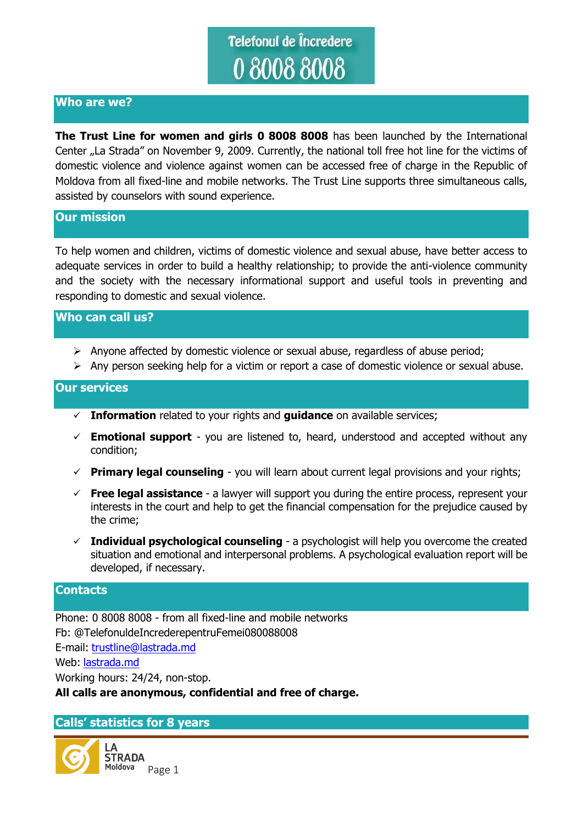# Telefonul de Încredere 080088008

## **Who are we?**

**The Trust Line for women and girls 0 8008 8008** has been launched by the International Center "La Strada" on November 9, 2009. Currently, the national toll free hot line for the victims of domestic violence and violence against women can be accessed free of charge in the Republic of Moldova from all fixed-line and mobile networks. The Trust Line supports three simultaneous calls, assisted by counselors with sound experience.

#### **Our mission**

To help women and children, victims of domestic violence and sexual abuse, have better access to adequate services in order to build a healthy relationship; to provide the anti-violence community and the society with the necessary informational support and useful tools in preventing and responding to domestic and sexual violence.

## **Who can call us?**

- $\triangleright$  Anyone affected by domestic violence or sexual abuse, regardless of abuse period;
- Any person seeking help for a victim or report a case of domestic violence or sexual abuse.

#### **Our services**

- **Information** related to your rights and **guidance** on available services;
- $\checkmark$  **Emotional support** you are listened to, heard, understood and accepted without any condition;
- **Primary legal counseling** you will learn about current legal provisions and your rights;
- **Free legal assistance** a lawyer will support you during the entire process, represent your interests in the court and help to get the financial compensation for the prejudice caused by the crime;
- **Individual psychological counseling** a psychologist will help you overcome the created situation and emotional and interpersonal problems. A psychological evaluation report will be developed, if necessary.

### **Contacts**

Phone: 0 8008 8008 - from all fixed-line and mobile networks Fb: @TelefonuldeIncrederepentruFemei080088008 E-mail: [trustline@lastrada.md](mailto:trustline@lastrada.md) Web: [lastrada.md](http://lastrada.md/) Working hours: 24/24, non-stop. **All calls are anonymous, confidential and free of charge.** 

#### **Calls' statistics for 8 years**

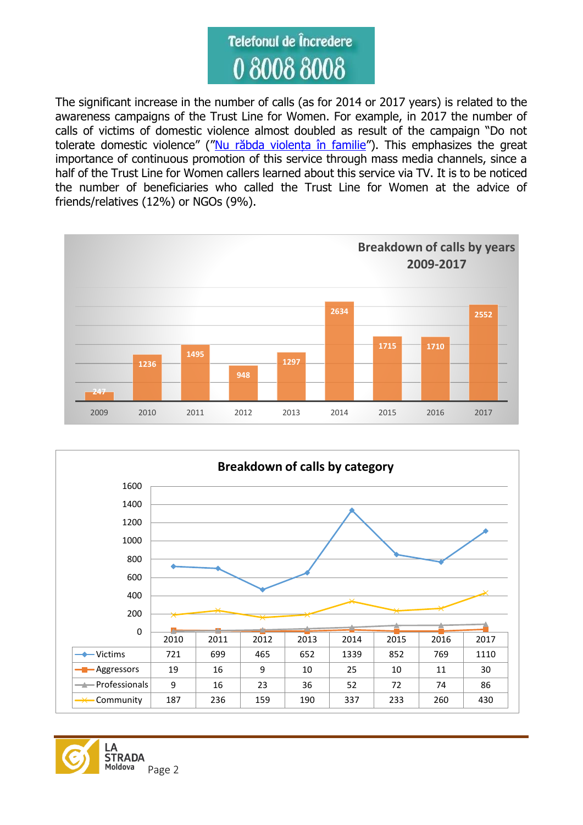

The significant increase in the number of calls (as for 2014 or 2017 years) is related to the awareness campaigns of the Trust Line for Women. For example, in 2017 the number of calls of victims of domestic violence almost doubled as result of the campaign "Do not tolerate domestic violence" (["Nu răbda violența în familie"](https://www.youtube.com/watch?v=XC3ZCe69ehM)). This emphasizes the great importance of continuous promotion of this service through mass media channels, since a half of the Trust Line for Women callers learned about this service via TV. It is to be noticed the number of beneficiaries who called the Trust Line for Women at the advice of friends/relatives (12%) or NGOs (9%).